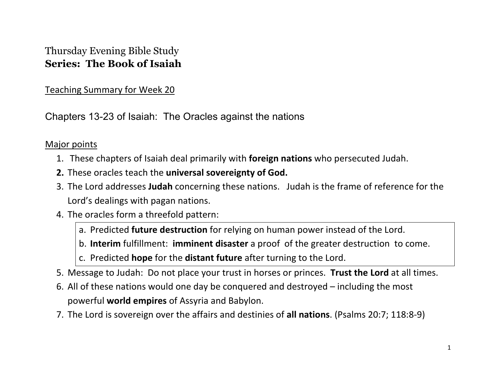## Thursday Evening Bible Study **Series: The Book of Isaiah**

Teaching Summary for Week 20

Chapters 13-23 of Isaiah: The Oracles against the nations

## Major points

- 1. These chapters of Isaiah deal primarily with **foreign nations** who persecuted Judah.
- **2.** These oracles teach the **universal sovereignty of God.**
- 3. The Lord addresses **Judah** concerning these nations. Judah is the frame of reference for the Lord's dealings with pagan nations.
- 4. The oracles form a threefold pattern:
	- a. Predicted **future destruction** for relying on human power instead of the Lord.
	- b. **Interim** fulfillment: **imminent disaster** a proof of the greater destruction to come.
	- c. Predicted **hope** for the **distant future** after turning to the Lord.
- 5. Message to Judah: Do not place your trust in horses or princes. **Trust the Lord** at all times.
- 6. All of these nations would one day be conquered and destroyed including the most powerful **world empires** of Assyria and Babylon.
- 7. The Lord is sovereign over the affairs and destinies of **all nations**. (Psalms 20:7; 118:8-9)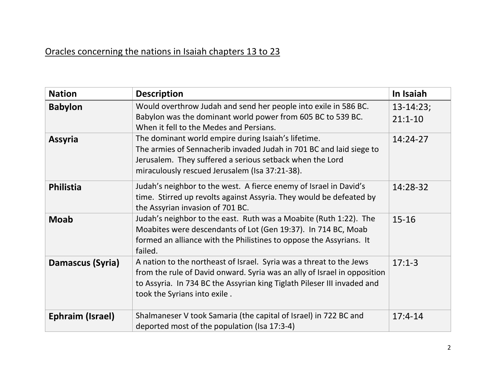## Oracles concerning the nations in Isaiah chapters 13 to 23

| <b>Nation</b>    | <b>Description</b>                                                                                                                                                                                                                                         | In Isaiah                    |
|------------------|------------------------------------------------------------------------------------------------------------------------------------------------------------------------------------------------------------------------------------------------------------|------------------------------|
| <b>Babylon</b>   | Would overthrow Judah and send her people into exile in 586 BC.<br>Babylon was the dominant world power from 605 BC to 539 BC.<br>When it fell to the Medes and Persians.                                                                                  | $13 - 14:23;$<br>$21:1 - 10$ |
| <b>Assyria</b>   | The dominant world empire during Isaiah's lifetime.<br>The armies of Sennacherib invaded Judah in 701 BC and laid siege to<br>Jerusalem. They suffered a serious setback when the Lord<br>miraculously rescued Jerusalem (Isa 37:21-38).                   | 14:24-27                     |
| <b>Philistia</b> | Judah's neighbor to the west. A fierce enemy of Israel in David's<br>time. Stirred up revolts against Assyria. They would be defeated by<br>the Assyrian invasion of 701 BC.                                                                               | 14:28-32                     |
| <b>Moab</b>      | Judah's neighbor to the east. Ruth was a Moabite (Ruth 1:22). The<br>Moabites were descendants of Lot (Gen 19:37). In 714 BC, Moab<br>formed an alliance with the Philistines to oppose the Assyrians. It<br>failed.                                       | $15 - 16$                    |
| Damascus (Syria) | A nation to the northeast of Israel. Syria was a threat to the Jews<br>from the rule of David onward. Syria was an ally of Israel in opposition<br>to Assyria. In 734 BC the Assyrian king Tiglath Pileser III invaded and<br>took the Syrians into exile. | $17:1-3$                     |
| Ephraim (Israel) | Shalmaneser V took Samaria (the capital of Israel) in 722 BC and<br>deported most of the population (Isa 17:3-4)                                                                                                                                           | $17:4-14$                    |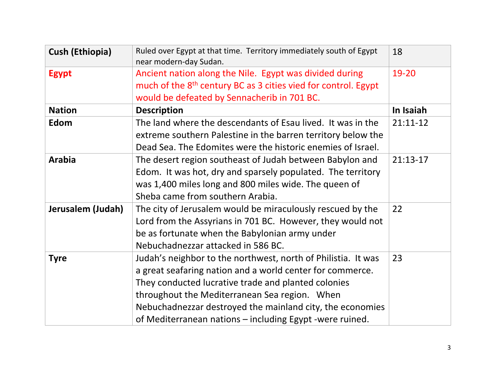| <b>Cush (Ethiopia)</b> | Ruled over Egypt at that time. Territory immediately south of Egypt<br>near modern-day Sudan.                                                                                                                                                                                                                                                               | 18         |
|------------------------|-------------------------------------------------------------------------------------------------------------------------------------------------------------------------------------------------------------------------------------------------------------------------------------------------------------------------------------------------------------|------------|
| <b>Egypt</b>           | Ancient nation along the Nile. Egypt was divided during<br>much of the 8 <sup>th</sup> century BC as 3 cities vied for control. Egypt<br>would be defeated by Sennacherib in 701 BC.                                                                                                                                                                        | 19-20      |
| <b>Nation</b>          | <b>Description</b>                                                                                                                                                                                                                                                                                                                                          | In Isaiah  |
| Edom                   | The land where the descendants of Esau lived. It was in the<br>extreme southern Palestine in the barren territory below the<br>Dead Sea. The Edomites were the historic enemies of Israel.                                                                                                                                                                  | $21:11-12$ |
| <b>Arabia</b>          | The desert region southeast of Judah between Babylon and<br>Edom. It was hot, dry and sparsely populated. The territory<br>was 1,400 miles long and 800 miles wide. The queen of<br>Sheba came from southern Arabia.                                                                                                                                        | $21:13-17$ |
| Jerusalem (Judah)      | The city of Jerusalem would be miraculously rescued by the<br>Lord from the Assyrians in 701 BC. However, they would not<br>be as fortunate when the Babylonian army under<br>Nebuchadnezzar attacked in 586 BC.                                                                                                                                            | 22         |
| <b>Tyre</b>            | Judah's neighbor to the northwest, north of Philistia. It was<br>a great seafaring nation and a world center for commerce.<br>They conducted lucrative trade and planted colonies<br>throughout the Mediterranean Sea region. When<br>Nebuchadnezzar destroyed the mainland city, the economies<br>of Mediterranean nations - including Egypt -were ruined. | 23         |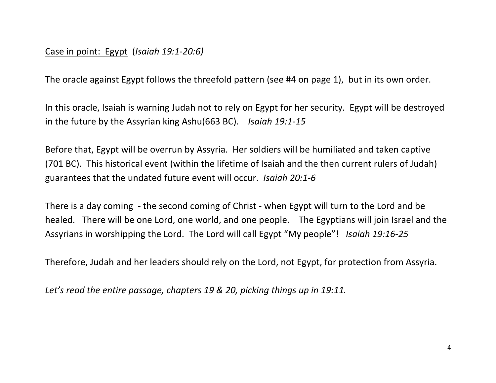## Case in point: Egypt (*Isaiah 19:1-20:6)*

The oracle against Egypt follows the threefold pattern (see #4 on page 1), but in its own order.

In this oracle, Isaiah is warning Judah not to rely on Egypt for her security. Egypt will be destroyed in the future by the Assyrian king Ashu(663 BC). *Isaiah 19:1-15*

Before that, Egypt will be overrun by Assyria. Her soldiers will be humiliated and taken captive (701 BC). This historical event (within the lifetime of Isaiah and the then current rulers of Judah) guarantees that the undated future event will occur. *Isaiah 20:1-6*

There is a day coming - the second coming of Christ - when Egypt will turn to the Lord and be healed. There will be one Lord, one world, and one people. The Egyptians will join Israel and the Assyrians in worshipping the Lord. The Lord will call Egypt "My people"! *Isaiah 19:16-25*

Therefore, Judah and her leaders should rely on the Lord, not Egypt, for protection from Assyria.

*Let's read the entire passage, chapters 19 & 20, picking things up in 19:11.*